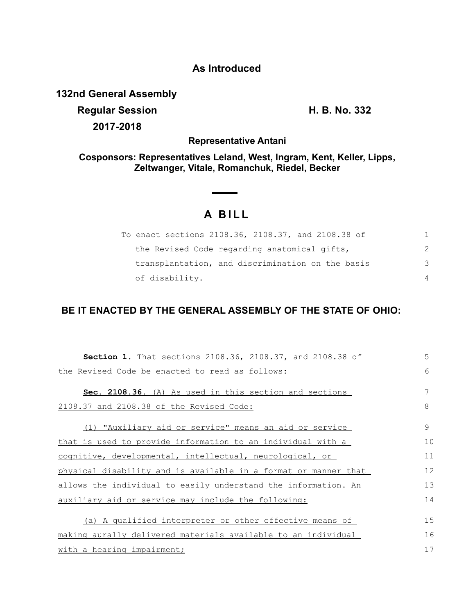## **As Introduced**

**132nd General Assembly**

**Regular Session H. B. No. 332 2017-2018**

**Representative Antani**

**Cosponsors: Representatives Leland, West, Ingram, Kent, Keller, Lipps, Zeltwanger, Vitale, Romanchuk, Riedel, Becker**

## **A B I L L**

| To enact sections 2108.36, 2108.37, and 2108.38 of |          |
|----------------------------------------------------|----------|
| the Revised Code regarding anatomical gifts,       |          |
| transplantation, and discrimination on the basis   | 3        |
| of disability.                                     | $\Delta$ |

## **BE IT ENACTED BY THE GENERAL ASSEMBLY OF THE STATE OF OHIO:**

| Section 1. That sections 2108.36, 2108.37, and 2108.38 of       | 5  |
|-----------------------------------------------------------------|----|
| the Revised Code be enacted to read as follows:                 | 6  |
| Sec. 2108.36. (A) As used in this section and sections          |    |
| 2108.37 and 2108.38 of the Revised Code:                        | 8  |
| (1) "Auxiliary aid or service" means an aid or service          | 9  |
| that is used to provide information to an individual with a     | 10 |
| cognitive, developmental, intellectual, neurological, or        | 11 |
| physical disability and is available in a format or manner that | 12 |
| allows the individual to easily understand the information. An  | 13 |
| auxiliary aid or service may include the following:             | 14 |
| (a) A qualified interpreter or other effective means of         | 15 |
| making aurally delivered materials available to an individual   | 16 |
| with a hearing impairment;                                      | 17 |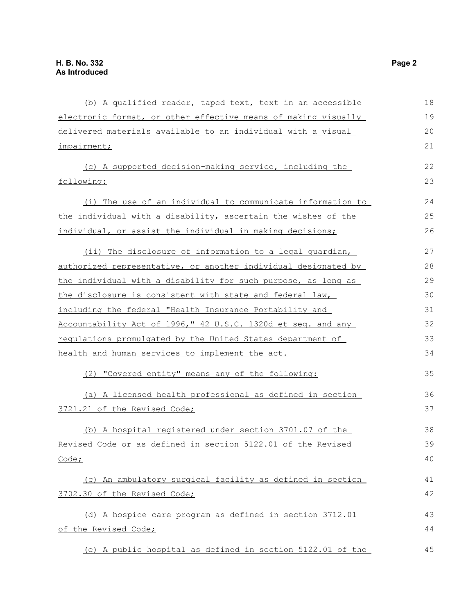|                                                                   | 18 |
|-------------------------------------------------------------------|----|
| (b) A qualified reader, taped text, text in an accessible         |    |
| electronic format, or other effective means of making visually    | 19 |
| delivered materials available to an individual with a visual      | 20 |
| impairment;                                                       | 21 |
| (c) A supported decision-making service, including the            | 22 |
| following:                                                        | 23 |
| (i) The use of an individual to communicate information to        | 24 |
| the individual with a disability, ascertain the wishes of the     | 25 |
| individual, or assist the individual in making decisions;         | 26 |
| (ii) The disclosure of information to a legal quardian,           | 27 |
| authorized representative, or another individual designated by    | 28 |
| the individual with a disability for such purpose, as long as     | 29 |
| the disclosure is consistent with state and federal law,          | 30 |
| including the federal "Health Insurance Portability and           | 31 |
| Accountability Act of 1996," 42 U.S.C. 1320d et seq. and any      | 32 |
| <u>regulations promulgated by the United States department of</u> | 33 |
| health and human services to implement the act.                   | 34 |
| (2) "Covered entity" means any of the following:                  | 35 |
| (a) A licensed health professional as defined in section          | 36 |
| 3721.21 of the Revised Code;                                      | 37 |
| (b) A hospital registered under section 3701.07 of the            | 38 |
| Revised Code or as defined in section 5122.01 of the Revised      | 39 |
| Code;                                                             | 40 |
| (c) An ambulatory surgical facility as defined in section         | 41 |
| 3702.30 of the Revised Code;                                      | 42 |
| (d) A hospice care program as defined in section 3712.01          | 43 |
| of the Revised Code;                                              | 44 |
| (e) A public hospital as defined in section 5122.01 of the        | 45 |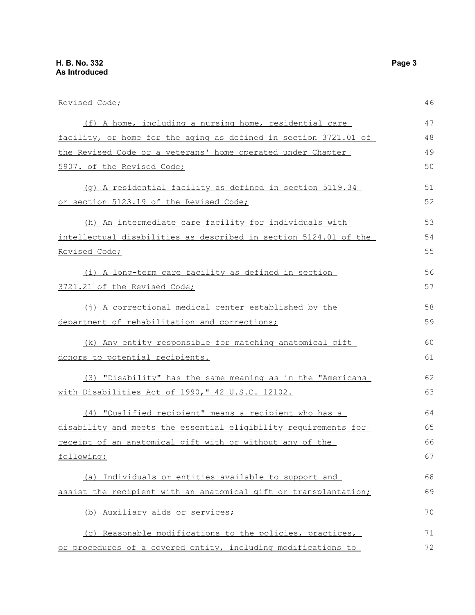| Revised Code;                                                    | 46 |
|------------------------------------------------------------------|----|
| (f) A home, including a nursing home, residential care           | 47 |
| facility, or home for the aging as defined in section 3721.01 of | 48 |
| the Revised Code or a veterans' home operated under Chapter      | 49 |
| 5907. of the Revised Code;                                       | 50 |
| (q) A residential facility as defined in section 5119.34         | 51 |
| or section 5123.19 of the Revised Code;                          | 52 |
| (h) An intermediate care facility for individuals with           | 53 |
| intellectual disabilities as described in section 5124.01 of the | 54 |
| <u>Revised Code;</u>                                             | 55 |
| (i) A long-term care facility as defined in section              | 56 |
| 3721.21 of the Revised Code;                                     | 57 |
| (j) A correctional medical center established by the             | 58 |
| department of rehabilitation and corrections;                    | 59 |
| (k) Any entity responsible for matching anatomical gift          | 60 |
| donors to potential recipients.                                  | 61 |
| (3) "Disability" has the same meaning as in the "Americans       | 62 |
| with Disabilities Act of 1990," 42 U.S.C. 12102.                 | 63 |
| (4) "Qualified recipient" means a recipient who has a            | 64 |
| disability and meets the essential eligibility requirements for  | 65 |
| receipt of an anatomical gift with or without any of the         | 66 |
| following:                                                       | 67 |
| (a) Individuals or entities available to support and             | 68 |
| assist the recipient with an anatomical gift or transplantation; | 69 |
| (b) Auxiliary aids or services;                                  | 70 |
| (c) Reasonable modifications to the policies, practices,         | 71 |
| or procedures of a covered entity, including modifications to    | 72 |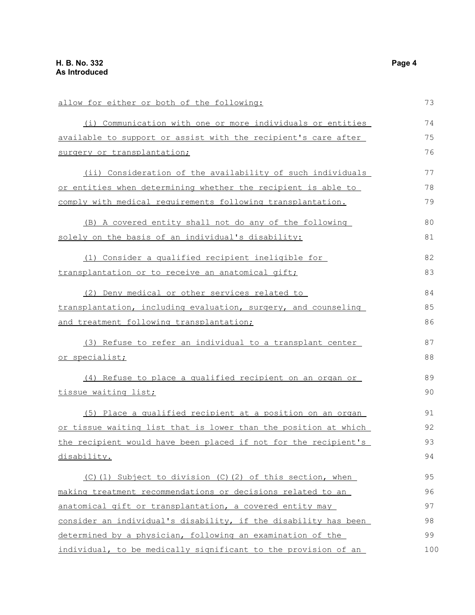| allow for either or both of the following:                      | 73  |
|-----------------------------------------------------------------|-----|
| (i) Communication with one or more individuals or entities      | 74  |
| available to support or assist with the recipient's care after  | 75  |
| surgery or transplantation;                                     | 76  |
| (ii) Consideration of the availability of such individuals      | 77  |
| or entities when determining whether the recipient is able to   | 78  |
| comply with medical requirements following transplantation.     | 79  |
| (B) A covered entity shall not do any of the following          | 80  |
| solely on the basis of an individual's disability:              | 81  |
| (1) Consider a qualified recipient ineligible for               | 82  |
| transplantation or to receive an anatomical gift;               | 83  |
| (2) Deny medical or other services related to                   | 84  |
| transplantation, including evaluation, surgery, and counseling  | 85  |
| and treatment following transplantation;                        | 86  |
| (3) Refuse to refer an individual to a transplant center        | 87  |
| <u>or specialist;</u>                                           | 88  |
| (4) Refuse to place a qualified recipient on an organ or        | 89  |
| <u>tissue waiting list;</u>                                     | 90  |
| (5) Place a qualified recipient at a position on an organ       | 91  |
| or tissue waiting list that is lower than the position at which | 92  |
| the recipient would have been placed if not for the recipient's | 93  |
| disability.                                                     | 94  |
| (C)(1) Subject to division (C)(2) of this section, when         | 95  |
| making treatment recommendations or decisions related to an     | 96  |
| anatomical gift or transplantation, a covered entity may        | 97  |
| consider an individual's disability, if the disability has been | 98  |
| determined by a physician, following an examination of the      | 99  |
| individual, to be medically significant to the provision of an  | 100 |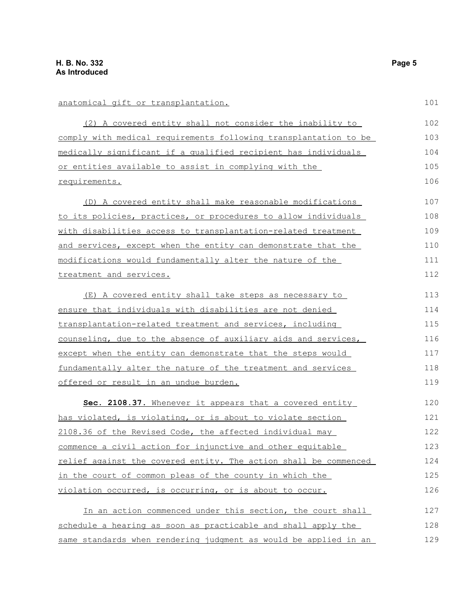## anatomical gift or transplantation.

(2) A covered entity shall not consider the inability to comply with medical requirements following transplantation to be medically significant if a qualified recipient has individuals or entities available to assist in complying with the requirements.

(D) A covered entity shall make reasonable modifications to its policies, practices, or procedures to allow individuals with disabilities access to transplantation-related treatment and services, except when the entity can demonstrate that the modifications would fundamentally alter the nature of the treatment and services. 107 108 109 110 111 112

(E) A covered entity shall take steps as necessary to ensure that individuals with disabilities are not denied transplantation-related treatment and services, including counseling, due to the absence of auxiliary aids and services, except when the entity can demonstrate that the steps would fundamentally alter the nature of the treatment and services offered or result in an undue burden. 113 114 115 116 117 118 119

 **Sec. 2108.37.** Whenever it appears that a covered entity has violated, is violating, or is about to violate section 2108.36 of the Revised Code, the affected individual may commence a civil action for injunctive and other equitable relief against the covered entity. The action shall be commenced in the court of common pleas of the county in which the violation occurred, is occurring, or is about to occur. 120 121 122 123 124 125 126

| In an action commenced under this section, the court shall       | 127 |
|------------------------------------------------------------------|-----|
| schedule a hearing as soon as practicable and shall apply the    | 128 |
| same standards when rendering judgment as would be applied in an | 129 |

101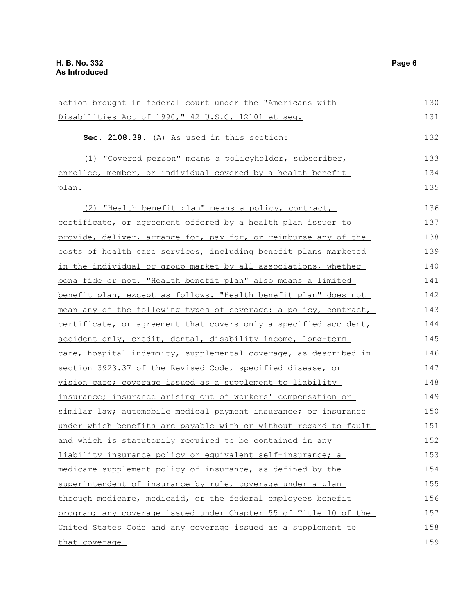| action brought in federal court under the "Americans with        | 130 |
|------------------------------------------------------------------|-----|
| Disabilities Act of 1990," 42 U.S.C. 12101 et seq.               | 131 |
| Sec. 2108.38. (A) As used in this section:                       | 132 |
| (1) "Covered person" means a policyholder, subscriber,           | 133 |
| enrollee, member, or individual covered by a health benefit      | 134 |
| plan.                                                            | 135 |
| (2) "Health benefit plan" means a policy, contract,              | 136 |
| certificate, or agreement offered by a health plan issuer to     | 137 |
| provide, deliver, arrange for, pay for, or reimburse any of the  | 138 |
| costs of health care services, including benefit plans marketed  | 139 |
| in the individual or group market by all associations, whether   | 140 |
| bona fide or not. "Health benefit plan" also means a limited     | 141 |
| benefit plan, except as follows. "Health benefit plan" does not  | 142 |
| mean any of the following types of coverage: a policy, contract, | 143 |
| certificate, or agreement that covers only a specified accident, | 144 |
| accident only, credit, dental, disability income, long-term      | 145 |
| care, hospital indemnity, supplemental coverage, as described in | 146 |
| section 3923.37 of the Revised Code, specified disease, or       | 147 |
| vision care; coverage issued as a supplement to liability        | 148 |
| insurance; insurance arising out of workers' compensation or     | 149 |
| similar law; automobile medical payment insurance; or insurance  | 150 |
| under which benefits are payable with or without regard to fault | 151 |
| and which is statutorily required to be contained in any         | 152 |
| liability insurance policy or equivalent self-insurance; a       | 153 |
| medicare supplement policy of insurance, as defined by the       | 154 |
| superintendent of insurance by rule, coverage under a plan       | 155 |
| through medicare, medicaid, or the federal employees benefit     | 156 |
| program; any coverage issued under Chapter 55 of Title 10 of the | 157 |
| United States Code and any coverage issued as a supplement to    | 158 |
| that coverage.                                                   | 159 |